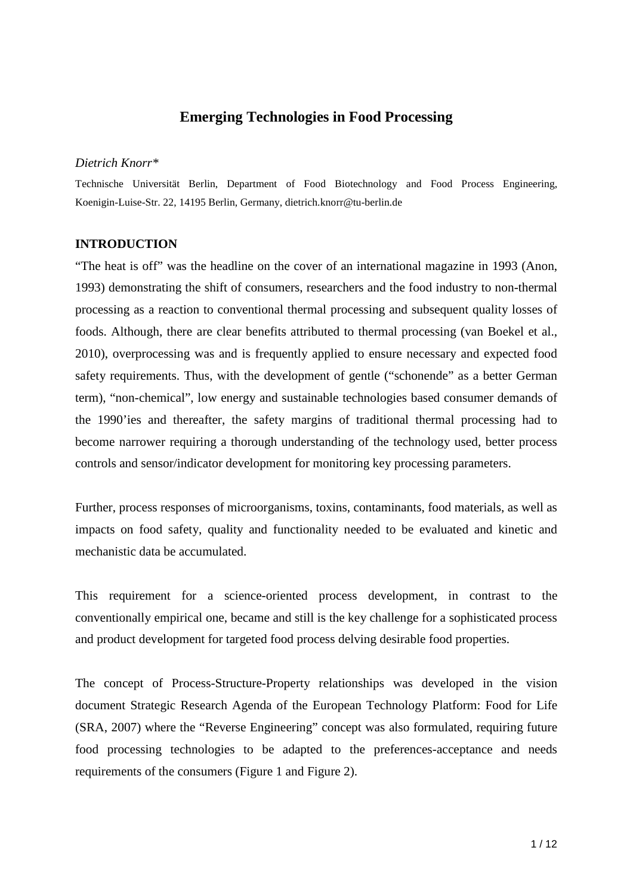# **Emerging Technologies in Food Processing**

## *Dietrich Knorr\**

Technische Universität Berlin, Department of Food Biotechnology and Food Process Engineering, Koenigin-Luise-Str. 22, 14195 Berlin, Germany, [dietrich.knorr@tu-berlin.de](mailto:dietrich.knorr@tu-berlin.de)

### **INTRODUCTION**

"The heat is off" was the headline on the cover of an international magazine in 1993 (Anon, 1993) demonstrating the shift of consumers, researchers and the food industry to non-thermal processing as a reaction to conventional thermal processing and subsequent quality losses of foods. Although, there are clear benefits attributed to thermal processing (van Boekel et al., 2010), overprocessing was and is frequently applied to ensure necessary and expected food safety requirements. Thus, with the development of gentle ("schonende" as a better German term), "non-chemical", low energy and sustainable technologies based consumer demands of the 1990'ies and thereafter, the safety margins of traditional thermal processing had to become narrower requiring a thorough understanding of the technology used, better process controls and sensor/indicator development for monitoring key processing parameters.

Further, process responses of microorganisms, toxins, contaminants, food materials, as well as impacts on food safety, quality and functionality needed to be evaluated and kinetic and mechanistic data be accumulated.

This requirement for a science-oriented process development, in contrast to the conventionally empirical one, became and still is the key challenge for a sophisticated process and product development for targeted food process delving desirable food properties.

The concept of Process-Structure-Property relationships was developed in the vision document Strategic Research Agenda of the European Technology Platform: Food for Life (SRA, 2007) where the "Reverse Engineering" concept was also formulated, requiring future food processing technologies to be adapted to the preferences-acceptance and needs requirements of the consumers (Figure 1 and Figure 2).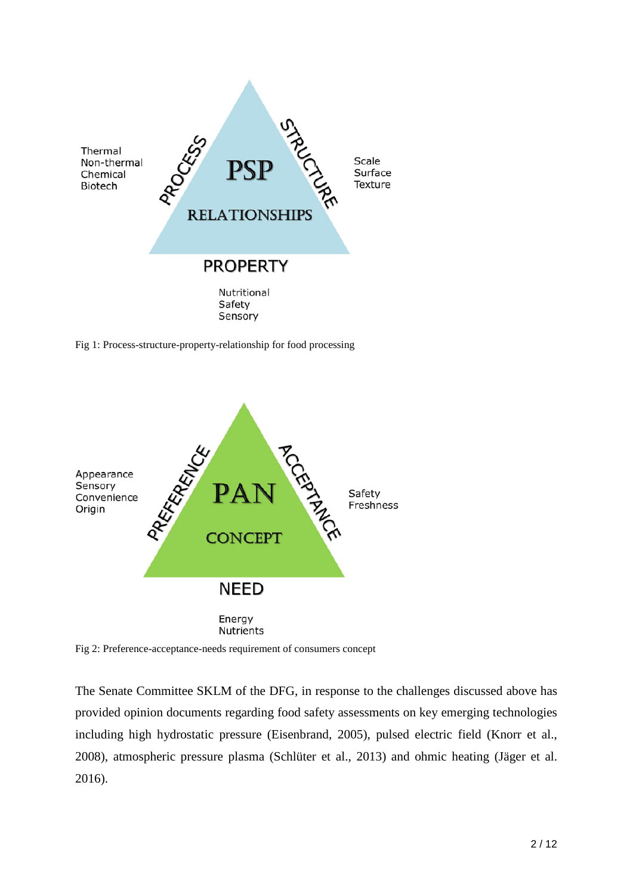

Fig 1: Process-structure-property-relationship for food processing



Fig 2: Preference-acceptance-needs requirement of consumers concept

The Senate Committee SKLM of the DFG, in response to the challenges discussed above has provided opinion documents regarding food safety assessments on key emerging technologies including high hydrostatic pressure (Eisenbrand, 2005), pulsed electric field (Knorr et al., 2008), atmospheric pressure plasma (Schlüter et al., 2013) and ohmic heating (Jäger et al. 2016).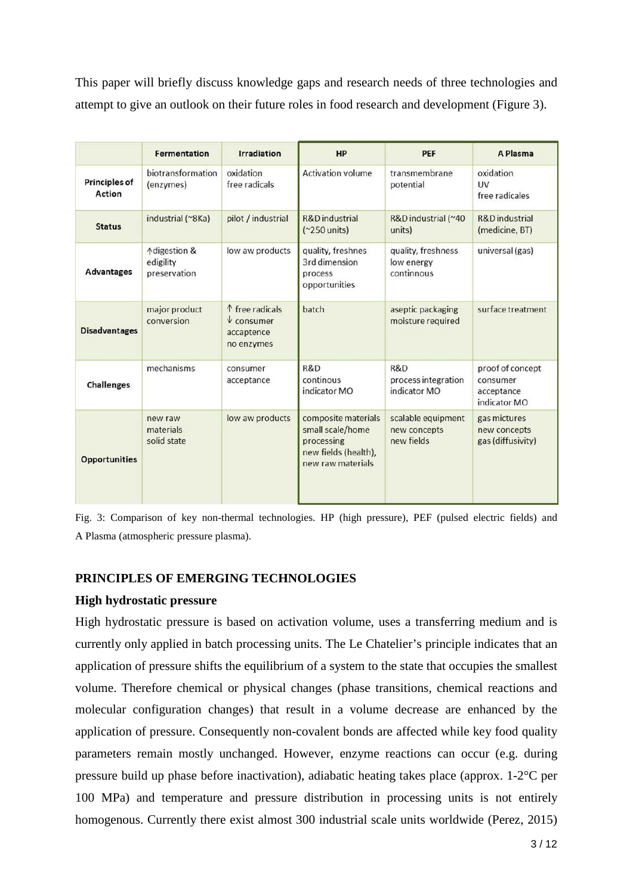This paper will briefly discuss knowledge gaps and research needs of three technologies and attempt to give an outlook on their future roles in food research and development (Figure 3).

|                                       | <b>Fermentation</b>                                  | <b>Irradiation</b>                                                  | HP                                                                                                 | PEF                                              | A Plasma                                                   |
|---------------------------------------|------------------------------------------------------|---------------------------------------------------------------------|----------------------------------------------------------------------------------------------------|--------------------------------------------------|------------------------------------------------------------|
| <b>Principles of</b><br><b>Action</b> | biotransformation<br>(enzymes)                       | oxidation<br>free radicals                                          | <b>Activation volume</b>                                                                           | transmembrane<br>potential                       | oxidation<br><b>UV</b><br>free radicales                   |
| <b>Status</b>                         | industrial (~8Ka)                                    | pilot / industrial                                                  | R&D industrial<br>$(^2250$ units)                                                                  | R&D industrial (~40<br>units)                    | R&D industrial<br>(medicine, BT)                           |
| <b>Advantages</b>                     | <b>Adigestion &amp;</b><br>edigility<br>preservation | low aw products                                                     | quality, freshnes<br>3rd dimension<br>process<br>opportunities                                     | quality, freshness<br>low energy<br>continnous   | universal (gas)                                            |
| <b>Disadvantages</b>                  | major product<br>conversion                          | ↑ free radicals<br>$\sqrt{\ }$ consumer<br>accaptence<br>no enzymes | batch                                                                                              | aseptic packaging<br>moisture required           | surface treatment                                          |
| <b>Challenges</b>                     | mechanisms                                           | consumer<br>acceptance                                              | R&D<br>continous<br>indicator MO                                                                   | R&D<br>process integration<br>indicator MO       | proof of concept<br>consumer<br>acceptance<br>indicator MO |
| <b>Opportunities</b>                  | new raw<br>materials<br>solid state                  | low aw products                                                     | composite materials<br>small scale/home<br>processing<br>new fields (health),<br>new raw materials | scalable equipment<br>new concepts<br>new fields | gas mictures<br>new concepts<br>gas (diffusivity)          |

Fig. 3: Comparison of key non-thermal technologies. HP (high pressure), PEF (pulsed electric fields) and A Plasma (atmospheric pressure plasma).

# **PRINCIPLES OF EMERGING TECHNOLOGIES**

# **High hydrostatic pressure**

High hydrostatic pressure is based on activation volume, uses a transferring medium and is currently only applied in batch processing units. The Le Chatelier's principle indicates that an application of pressure shifts the equilibrium of a system to the state that occupies the smallest volume. Therefore chemical or physical changes (phase transitions, chemical reactions and molecular configuration changes) that result in a volume decrease are enhanced by the application of pressure. Consequently non-covalent bonds are affected while key food quality parameters remain mostly unchanged. However, enzyme reactions can occur (e.g. during pressure build up phase before inactivation), adiabatic heating takes place (approx. 1-2°C per 100 MPa) and temperature and pressure distribution in processing units is not entirely homogenous. Currently there exist almost 300 industrial scale units worldwide (Perez, 2015)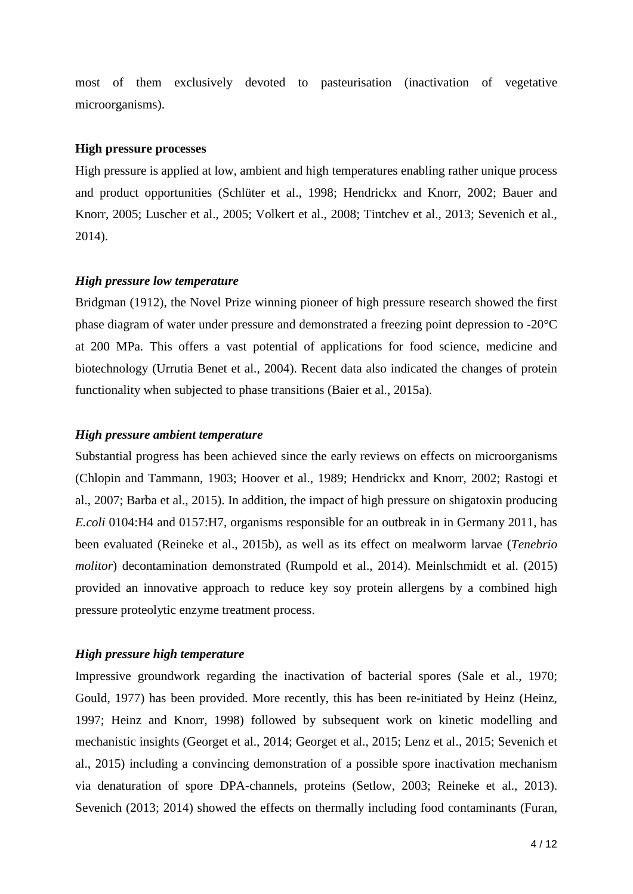most of them exclusively devoted to pasteurisation (inactivation of vegetative microorganisms).

### **High pressure processes**

High pressure is applied at low, ambient and high temperatures enabling rather unique process and product opportunities (Schlüter et al., 1998; Hendrickx and Knorr, 2002; Bauer and Knorr, 2005; Luscher et al., 2005; Volkert et al., 2008; Tintchev et al., 2013; Sevenich et al., 2014).

### *High pressure low temperature*

Bridgman (1912), the Novel Prize winning pioneer of high pressure research showed the first phase diagram of water under pressure and demonstrated a freezing point depression to -20°C at 200 MPa. This offers a vast potential of applications for food science, medicine and biotechnology (Urrutia Benet et al., 2004). Recent data also indicated the changes of protein functionality when subjected to phase transitions (Baier et al., 2015a).

### *High pressure ambient temperature*

Substantial progress has been achieved since the early reviews on effects on microorganisms (Chlopin and Tammann, 1903; Hoover et al., 1989; Hendrickx and Knorr, 2002; Rastogi et al., 2007; Barba et al., 2015). In addition, the impact of high pressure on shigatoxin producing *E.coli* 0104:H4 and 0157:H7, organisms responsible for an outbreak in in Germany 2011, has been evaluated (Reineke et al., 2015b), as well as its effect on mealworm larvae (*Tenebrio molitor*) decontamination demonstrated (Rumpold et al., 2014). Meinlschmidt et al. (2015) provided an innovative approach to reduce key soy protein allergens by a combined high pressure proteolytic enzyme treatment process.

### *High pressure high temperature*

Impressive groundwork regarding the inactivation of bacterial spores (Sale et al., 1970; Gould, 1977) has been provided. More recently, this has been re-initiated by Heinz (Heinz, 1997; Heinz and Knorr, 1998) followed by subsequent work on kinetic modelling and mechanistic insights (Georget et al., 2014; Georget et al., 2015; Lenz et al., 2015; Sevenich et al., 2015) including a convincing demonstration of a possible spore inactivation mechanism via denaturation of spore DPA-channels, proteins (Setlow, 2003; Reineke et al., 2013). Sevenich (2013; 2014) showed the effects on thermally including food contaminants (Furan,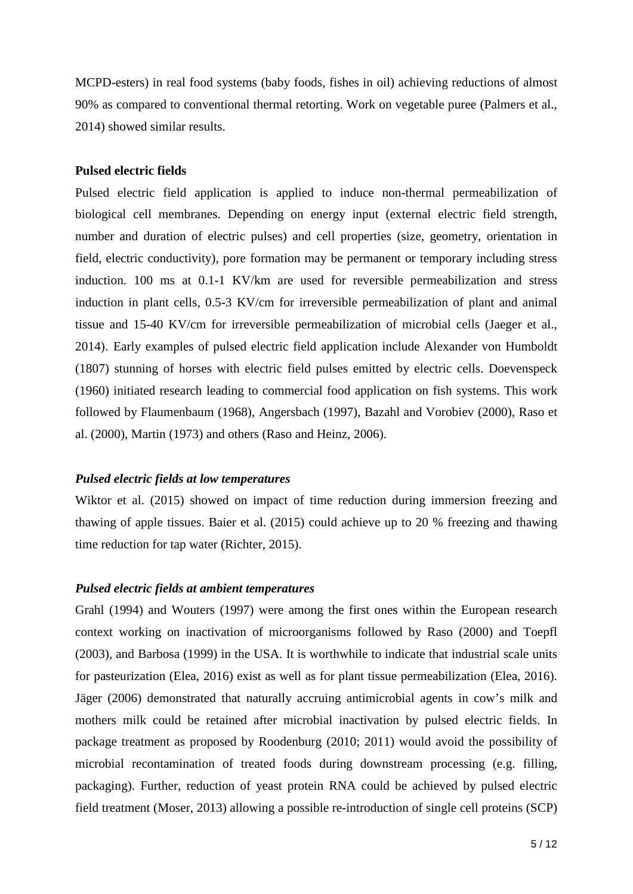MCPD-esters) in real food systems (baby foods, fishes in oil) achieving reductions of almost 90% as compared to conventional thermal retorting. Work on vegetable puree (Palmers et al., 2014) showed similar results.

# **Pulsed electric fields**

Pulsed electric field application is applied to induce non-thermal permeabilization of biological cell membranes. Depending on energy input (external electric field strength, number and duration of electric pulses) and cell properties (size, geometry, orientation in field, electric conductivity), pore formation may be permanent or temporary including stress induction. 100 ms at 0.1-1 KV/km are used for reversible permeabilization and stress induction in plant cells, 0.5-3 KV/cm for irreversible permeabilization of plant and animal tissue and 15-40 KV/cm for irreversible permeabilization of microbial cells (Jaeger et al., 2014). Early examples of pulsed electric field application include Alexander von Humboldt (1807) stunning of horses with electric field pulses emitted by electric cells. Doevenspeck (1960) initiated research leading to commercial food application on fish systems. This work followed by Flaumenbaum (1968), Angersbach (1997), Bazahl and Vorobiev (2000), Raso et al. (2000), Martin (1973) and others (Raso and Heinz, 2006).

#### *Pulsed electric fields at low temperatures*

Wiktor et al. (2015) showed on impact of time reduction during immersion freezing and thawing of apple tissues. Baier et al. (2015) could achieve up to 20 % freezing and thawing time reduction for tap water (Richter, 2015).

### *Pulsed electric fields at ambient temperatures*

Grahl (1994) and Wouters (1997) were among the first ones within the European research context working on inactivation of microorganisms followed by Raso (2000) and Toepfl (2003), and Barbosa (1999) in the USA. It is worthwhile to indicate that industrial scale units for pasteurization (Elea, 2016) exist as well as for plant tissue permeabilization (Elea, 2016). Jäger (2006) demonstrated that naturally accruing antimicrobial agents in cow's milk and mothers milk could be retained after microbial inactivation by pulsed electric fields. In package treatment as proposed by Roodenburg (2010; 2011) would avoid the possibility of microbial recontamination of treated foods during downstream processing (e.g. filling, packaging). Further, reduction of yeast protein RNA could be achieved by pulsed electric field treatment (Moser, 2013) allowing a possible re-introduction of single cell proteins (SCP)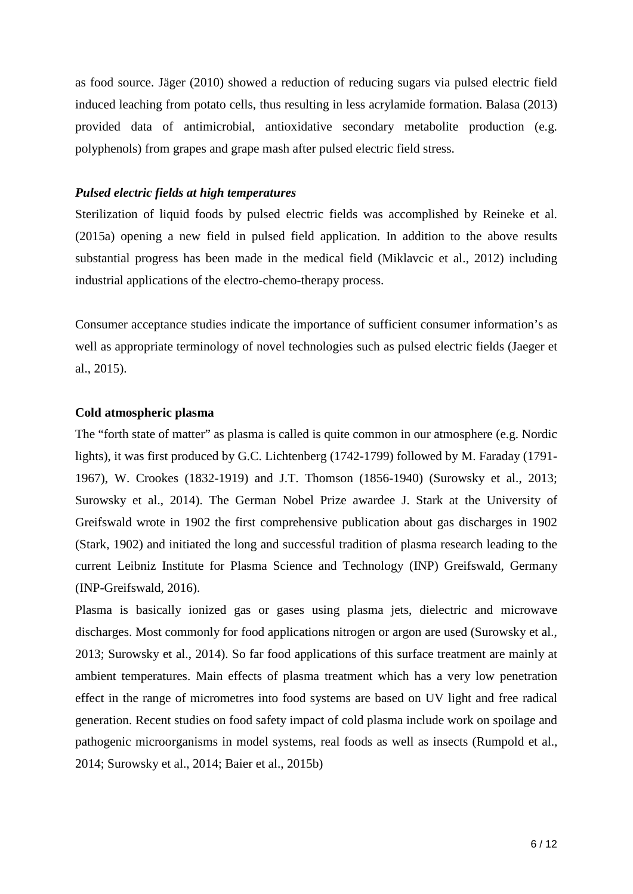as food source. Jäger (2010) showed a reduction of reducing sugars via pulsed electric field induced leaching from potato cells, thus resulting in less acrylamide formation. Balasa (2013) provided data of antimicrobial, antioxidative secondary metabolite production (e.g. polyphenols) from grapes and grape mash after pulsed electric field stress.

# *Pulsed electric fields at high temperatures*

Sterilization of liquid foods by pulsed electric fields was accomplished by Reineke et al. (2015a) opening a new field in pulsed field application. In addition to the above results substantial progress has been made in the medical field (Miklavcic et al., 2012) including industrial applications of the electro-chemo-therapy process.

Consumer acceptance studies indicate the importance of sufficient consumer information's as well as appropriate terminology of novel technologies such as pulsed electric fields (Jaeger et al., 2015).

## **Cold atmospheric plasma**

The "forth state of matter" as plasma is called is quite common in our atmosphere (e.g. Nordic lights), it was first produced by G.C. Lichtenberg (1742-1799) followed by M. Faraday (1791- 1967), W. Crookes (1832-1919) and J.T. Thomson (1856-1940) (Surowsky et al., 2013; Surowsky et al., 2014). The German Nobel Prize awardee J. Stark at the University of Greifswald wrote in 1902 the first comprehensive publication about gas discharges in 1902 (Stark, 1902) and initiated the long and successful tradition of plasma research leading to the current Leibniz Institute for Plasma Science and Technology (INP) Greifswald, Germany (INP-Greifswald, 2016).

Plasma is basically ionized gas or gases using plasma jets, dielectric and microwave discharges. Most commonly for food applications nitrogen or argon are used (Surowsky et al., 2013; Surowsky et al., 2014). So far food applications of this surface treatment are mainly at ambient temperatures. Main effects of plasma treatment which has a very low penetration effect in the range of micrometres into food systems are based on UV light and free radical generation. Recent studies on food safety impact of cold plasma include work on spoilage and pathogenic microorganisms in model systems, real foods as well as insects (Rumpold et al., 2014; Surowsky et al., 2014; Baier et al., 2015b)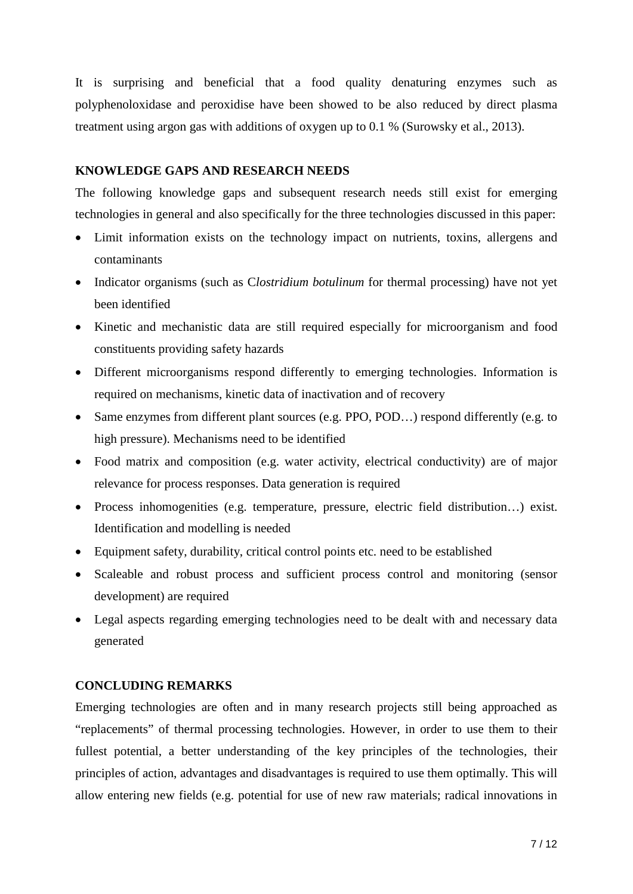It is surprising and beneficial that a food quality denaturing enzymes such as polyphenoloxidase and peroxidise have been showed to be also reduced by direct plasma treatment using argon gas with additions of oxygen up to 0.1 % (Surowsky et al., 2013).

### **KNOWLEDGE GAPS AND RESEARCH NEEDS**

The following knowledge gaps and subsequent research needs still exist for emerging technologies in general and also specifically for the three technologies discussed in this paper:

- Limit information exists on the technology impact on nutrients, toxins, allergens and contaminants
- Indicator organisms (such as *Clostridium botulinum* for thermal processing) have not yet been identified
- Kinetic and mechanistic data are still required especially for microorganism and food constituents providing safety hazards
- Different microorganisms respond differently to emerging technologies. Information is required on mechanisms, kinetic data of inactivation and of recovery
- Same enzymes from different plant sources (e.g. PPO, POD...) respond differently (e.g. to high pressure). Mechanisms need to be identified
- Food matrix and composition (e.g. water activity, electrical conductivity) are of major relevance for process responses. Data generation is required
- Process inhomogenities (e.g. temperature, pressure, electric field distribution…) exist. Identification and modelling is needed
- Equipment safety, durability, critical control points etc. need to be established
- Scaleable and robust process and sufficient process control and monitoring (sensor development) are required
- Legal aspects regarding emerging technologies need to be dealt with and necessary data generated

# **CONCLUDING REMARKS**

Emerging technologies are often and in many research projects still being approached as "replacements" of thermal processing technologies. However, in order to use them to their fullest potential, a better understanding of the key principles of the technologies, their principles of action, advantages and disadvantages is required to use them optimally. This will allow entering new fields (e.g. potential for use of new raw materials; radical innovations in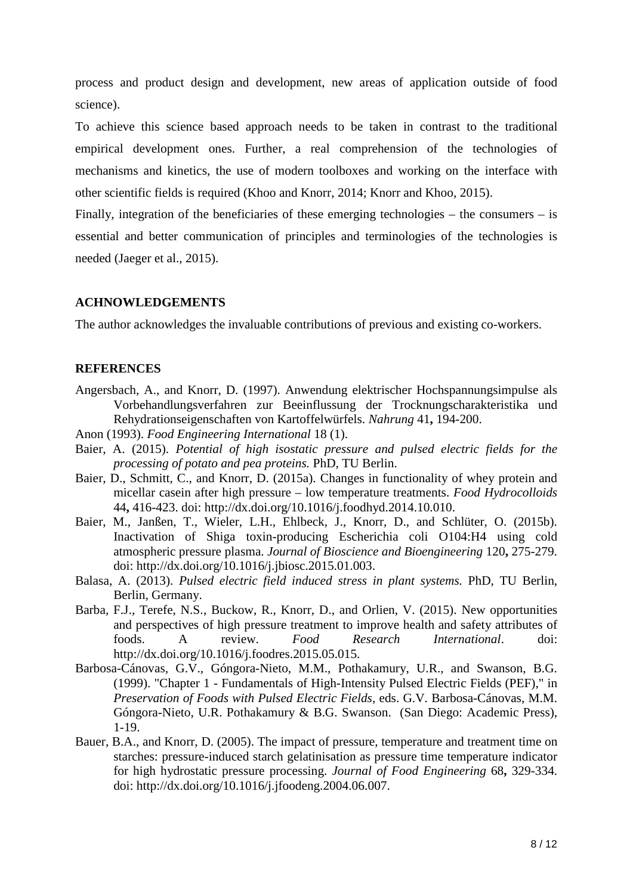process and product design and development, new areas of application outside of food science).

To achieve this science based approach needs to be taken in contrast to the traditional empirical development ones. Further, a real comprehension of the technologies of mechanisms and kinetics, the use of modern toolboxes and working on the interface with other scientific fields is required (Khoo and Knorr, 2014; Knorr and Khoo, 2015).

Finally, integration of the beneficiaries of these emerging technologies – the consumers – is essential and better communication of principles and terminologies of the technologies is needed (Jaeger et al., 2015).

## **ACHNOWLEDGEMENTS**

The author acknowledges the invaluable contributions of previous and existing co-workers.

### **REFERENCES**

- Angersbach, A., and Knorr, D. (1997). Anwendung elektrischer Hochspannungsimpulse als Vorbehandlungsverfahren zur Beeinflussung der Trocknungscharakteristika und Rehydrationseigenschaften von Kartoffelwürfels. *Nahrung* 41**,** 194-200.
- Anon (1993). *Food Engineering International* 18 (1).
- Baier, A. (2015). *Potential of high isostatic pressure and pulsed electric fields for the processing of potato and pea proteins.* PhD, TU Berlin.
- Baier, D., Schmitt, C., and Knorr, D. (2015a). Changes in functionality of whey protein and micellar casein after high pressure – low temperature treatments. *Food Hydrocolloids* 44**,** 416-423. doi: http://dx.doi.org/10.1016/j.foodhyd.2014.10.010.
- Baier, M., Janßen, T., Wieler, L.H., Ehlbeck, J., Knorr, D., and Schlüter, O. (2015b). Inactivation of Shiga toxin-producing Escherichia coli O104:H4 using cold atmospheric pressure plasma. *Journal of Bioscience and Bioengineering* 120**,** 275-279. doi: http://dx.doi.org/10.1016/j.jbiosc.2015.01.003.
- Balasa, A. (2013). *Pulsed electric field induced stress in plant systems.* PhD, TU Berlin, Berlin, Germany.
- Barba, F.J., Terefe, N.S., Buckow, R., Knorr, D., and Orlien, V. (2015). New opportunities and perspectives of high pressure treatment to improve health and safety attributes of foods. A review. *Food Research International*. doi: http://dx.doi.org/10.1016/j.foodres.2015.05.015.
- Barbosa-Cánovas, G.V., Góngora-Nieto, M.M., Pothakamury, U.R., and Swanson, B.G. (1999). "Chapter 1 - Fundamentals of High-Intensity Pulsed Electric Fields (PEF)," in *Preservation of Foods with Pulsed Electric Fields,* eds. G.V. Barbosa-Cánovas, M.M. Góngora-Nieto, U.R. Pothakamury & B.G. Swanson. (San Diego: Academic Press), 1-19.
- Bauer, B.A., and Knorr, D. (2005). The impact of pressure, temperature and treatment time on starches: pressure-induced starch gelatinisation as pressure time temperature indicator for high hydrostatic pressure processing. *Journal of Food Engineering* 68**,** 329-334. doi: http://dx.doi.org/10.1016/j.jfoodeng.2004.06.007.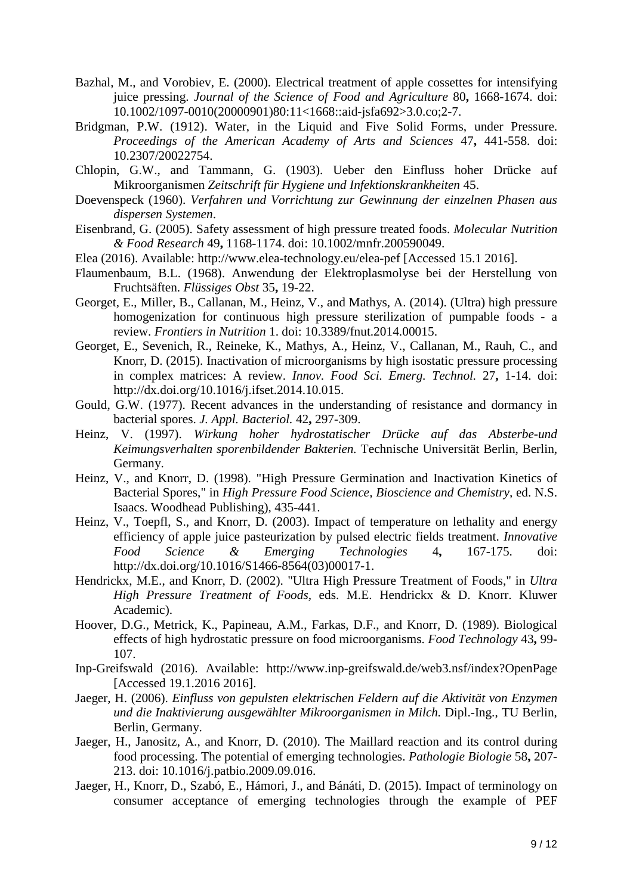- Bazhal, M., and Vorobiev, E. (2000). Electrical treatment of apple cossettes for intensifying juice pressing. *Journal of the Science of Food and Agriculture* 80**,** 1668-1674. doi: 10.1002/1097-0010(20000901)80:11<1668::aid-jsfa692>3.0.co;2-7.
- Bridgman, P.W. (1912). Water, in the Liquid and Five Solid Forms, under Pressure. *Proceedings of the American Academy of Arts and Sciences* 47**,** 441-558. doi: 10.2307/20022754.
- Chlopin, G.W., and Tammann, G. (1903). Ueber den Einfluss hoher Drücke auf Mikroorganismen *Zeitschrift für Hygiene und Infektionskrankheiten* 45.
- Doevenspeck (1960). *Verfahren und Vorrichtung zur Gewinnung der einzelnen Phasen aus dispersen Systemen*.
- Eisenbrand, G. (2005). Safety assessment of high pressure treated foods. *Molecular Nutrition & Food Research* 49**,** 1168-1174. doi: 10.1002/mnfr.200590049.
- Elea (2016). Available: http://www.elea-technology.eu/elea-pef [Accessed 15.1 2016].
- Flaumenbaum, B.L. (1968). Anwendung der Elektroplasmolyse bei der Herstellung von Fruchtsäften. *Flüssiges Obst* 35**,** 19-22.
- Georget, E., Miller, B., Callanan, M., Heinz, V., and Mathys, A. (2014). (Ultra) high pressure homogenization for continuous high pressure sterilization of pumpable foods - a review. *Frontiers in Nutrition* 1. doi: 10.3389/fnut.2014.00015.
- Georget, E., Sevenich, R., Reineke, K., Mathys, A., Heinz, V., Callanan, M., Rauh, C., and Knorr, D. (2015). Inactivation of microorganisms by high isostatic pressure processing in complex matrices: A review. *Innov. Food Sci. Emerg. Technol.* 27**,** 1-14. doi: http://dx.doi.org/10.1016/j.ifset.2014.10.015.
- Gould, G.W. (1977). Recent advances in the understanding of resistance and dormancy in bacterial spores. *J. Appl. Bacteriol.* 42**,** 297-309.
- Heinz, V. (1997). *Wirkung hoher hydrostatischer Drücke auf das Absterbe-und Keimungsverhalten sporenbildender Bakterien.* Technische Universität Berlin, Berlin, Germany.
- Heinz, V., and Knorr, D. (1998). "High Pressure Germination and Inactivation Kinetics of Bacterial Spores," in *High Pressure Food Science, Bioscience and Chemistry,* ed. N.S. Isaacs. Woodhead Publishing), 435-441.
- Heinz, V., Toepfl, S., and Knorr, D. (2003). Impact of temperature on lethality and energy efficiency of apple juice pasteurization by pulsed electric fields treatment. *Innovative Food Science & Emerging Technologies* 4**,** 167-175. doi: http://dx.doi.org/10.1016/S1466-8564(03)00017-1.
- Hendrickx, M.E., and Knorr, D. (2002). "Ultra High Pressure Treatment of Foods," in *Ultra High Pressure Treatment of Foods,* eds. M.E. Hendrickx & D. Knorr. Kluwer Academic).
- Hoover, D.G., Metrick, K., Papineau, A.M., Farkas, D.F., and Knorr, D. (1989). Biological effects of high hydrostatic pressure on food microorganisms. *Food Technology* 43**,** 99- 107.
- Inp-Greifswald (2016). Available: http://www.inp-greifswald.de/web3.nsf/index?OpenPage [Accessed 19.1.2016 2016].
- Jaeger, H. (2006). *Einfluss von gepulsten elektrischen Feldern auf die Aktivität von Enzymen und die Inaktivierung ausgewählter Mikroorganismen in Milch.* Dipl.-Ing., TU Berlin, Berlin, Germany.
- Jaeger, H., Janositz, A., and Knorr, D. (2010). The Maillard reaction and its control during food processing. The potential of emerging technologies. *Pathologie Biologie* 58**,** 207- 213. doi: 10.1016/j.patbio.2009.09.016.
- Jaeger, H., Knorr, D., Szabó, E., Hámori, J., and Bánáti, D. (2015). Impact of terminology on consumer acceptance of emerging technologies through the example of PEF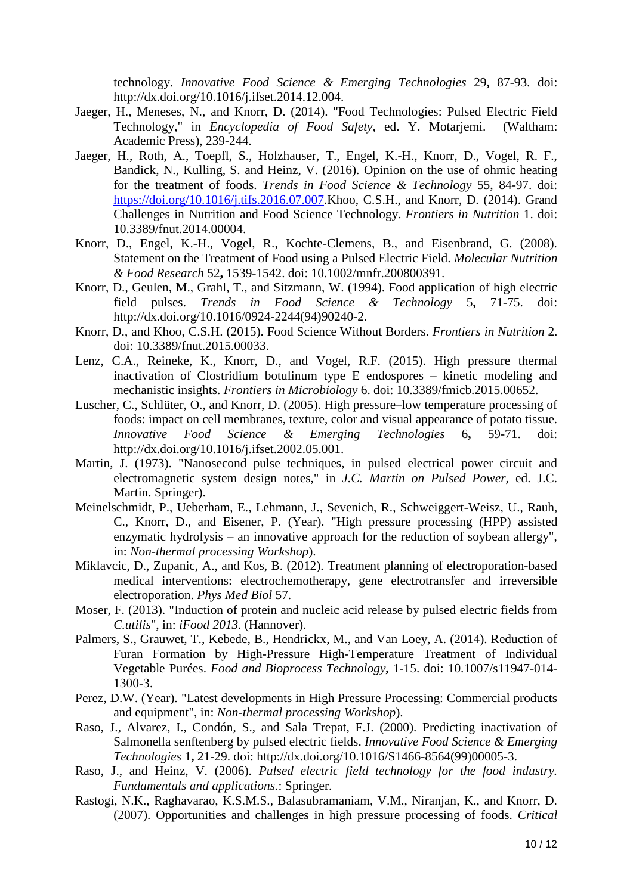technology. *Innovative Food Science & Emerging Technologies* 29**,** 87-93. doi: http://dx.doi.org/10.1016/j.ifset.2014.12.004.

- Jaeger, H., Meneses, N., and Knorr, D. (2014). "Food Technologies: Pulsed Electric Field Technology," in *Encyclopedia of Food Safety,* ed. Y. Motarjemi. (Waltham: Academic Press), 239-244.
- Jaeger, H., Roth, A., Toepfl, S., Holzhauser, T., Engel, K.-H., Knorr, D., Vogel, R. F., Bandick, N., Kulling, S. and Heinz, V. (2016). Opinion on the use of ohmic heating for the treatment of foods. *Trends in Food Science & Technology* 55, 84-97. doi: [https://doi.org/10.1016/j.tifs.2016.07.007.](https://doi.org/10.1016/j.tifs.2016.07.007)Khoo, C.S.H., and Knorr, D. (2014). Grand Challenges in Nutrition and Food Science Technology. *Frontiers in Nutrition* 1. doi: 10.3389/fnut.2014.00004.
- Knorr, D., Engel, K.-H., Vogel, R., Kochte-Clemens, B., and Eisenbrand, G. (2008). Statement on the Treatment of Food using a Pulsed Electric Field. *Molecular Nutrition & Food Research* 52**,** 1539-1542. doi: 10.1002/mnfr.200800391.
- Knorr, D., Geulen, M., Grahl, T., and Sitzmann, W. (1994). Food application of high electric field pulses. *Trends in Food Science & Technology* 5**,** 71-75. doi: http://dx.doi.org/10.1016/0924-2244(94)90240-2.
- Knorr, D., and Khoo, C.S.H. (2015). Food Science Without Borders. *Frontiers in Nutrition* 2. doi: 10.3389/fnut.2015.00033.
- Lenz, C.A., Reineke, K., Knorr, D., and Vogel, R.F. (2015). High pressure thermal inactivation of Clostridium botulinum type E endospores – kinetic modeling and mechanistic insights. *Frontiers in Microbiology* 6. doi: 10.3389/fmicb.2015.00652.
- Luscher, C., Schlüter, O., and Knorr, D. (2005). High pressure–low temperature processing of foods: impact on cell membranes, texture, color and visual appearance of potato tissue. *Innovative Food Science & Emerging Technologies* 6**,** 59-71. doi: http://dx.doi.org/10.1016/j.ifset.2002.05.001.
- Martin, J. (1973). "Nanosecond pulse techniques, in pulsed electrical power circuit and electromagnetic system design notes," in *J.C. Martin on Pulsed Power,* ed. J.C. Martin. Springer).
- Meinelschmidt, P., Ueberham, E., Lehmann, J., Sevenich, R., Schweiggert-Weisz, U., Rauh, C., Knorr, D., and Eisener, P. (Year). "High pressure processing (HPP) assisted enzymatic hydrolysis – an innovative approach for the reduction of soybean allergy", in: *Non-thermal processing Workshop*).
- Miklavcic, D., Zupanic, A., and Kos, B. (2012). Treatment planning of electroporation-based medical interventions: electrochemotherapy, gene electrotransfer and irreversible electroporation. *Phys Med Biol* 57.
- Moser, F. (2013). "Induction of protein and nucleic acid release by pulsed electric fields from *C.utilis*", in: *iFood 2013.* (Hannover).
- Palmers, S., Grauwet, T., Kebede, B., Hendrickx, M., and Van Loey, A. (2014). Reduction of Furan Formation by High-Pressure High-Temperature Treatment of Individual Vegetable Purées. *Food and Bioprocess Technology***,** 1-15. doi: 10.1007/s11947-014- 1300-3.
- Perez, D.W. (Year). "Latest developments in High Pressure Processing: Commercial products and equipment", in: *Non-thermal processing Workshop*).
- Raso, J., Alvarez, I., Condón, S., and Sala Trepat, F.J. (2000). Predicting inactivation of Salmonella senftenberg by pulsed electric fields. *Innovative Food Science & Emerging Technologies* 1**,** 21-29. doi: http://dx.doi.org/10.1016/S1466-8564(99)00005-3.
- Raso, J., and Heinz, V. (2006). *Pulsed electric field technology for the food industry. Fundamentals and applications.*: Springer.
- Rastogi, N.K., Raghavarao, K.S.M.S., Balasubramaniam, V.M., Niranjan, K., and Knorr, D. (2007). Opportunities and challenges in high pressure processing of foods. *Critical*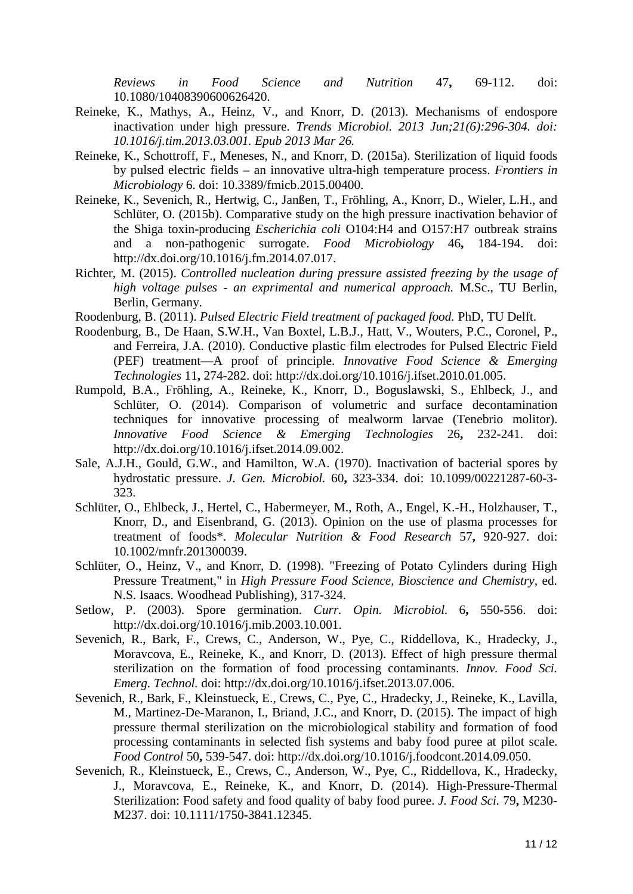*Reviews in Food Science and Nutrition* 47**,** 69-112. doi: 10.1080/10408390600626420.

- Reineke, K., Mathys, A., Heinz, V., and Knorr, D. (2013). Mechanisms of endospore inactivation under high pressure. *Trends Microbiol. 2013 Jun;21(6):296-304. doi: 10.1016/j.tim.2013.03.001. Epub 2013 Mar 26.*
- Reineke, K., Schottroff, F., Meneses, N., and Knorr, D. (2015a). Sterilization of liquid foods by pulsed electric fields – an innovative ultra-high temperature process. *Frontiers in Microbiology* 6. doi: 10.3389/fmicb.2015.00400.
- Reineke, K., Sevenich, R., Hertwig, C., Janßen, T., Fröhling, A., Knorr, D., Wieler, L.H., and Schlüter, O. (2015b). Comparative study on the high pressure inactivation behavior of the Shiga toxin-producing *Escherichia coli* O104:H4 and O157:H7 outbreak strains and a non-pathogenic surrogate. *Food Microbiology* 46**,** 184-194. doi: http://dx.doi.org/10.1016/j.fm.2014.07.017.
- Richter, M. (2015). *Controlled nucleation during pressure assisted freezing by the usage of high voltage pulses - an exprimental and numerical approach.* M.Sc., TU Berlin, Berlin, Germany.
- Roodenburg, B. (2011). *Pulsed Electric Field treatment of packaged food.* PhD, TU Delft.
- Roodenburg, B., De Haan, S.W.H., Van Boxtel, L.B.J., Hatt, V., Wouters, P.C., Coronel, P., and Ferreira, J.A. (2010). Conductive plastic film electrodes for Pulsed Electric Field (PEF) treatment—A proof of principle. *Innovative Food Science & Emerging Technologies* 11**,** 274-282. doi: http://dx.doi.org/10.1016/j.ifset.2010.01.005.
- Rumpold, B.A., Fröhling, A., Reineke, K., Knorr, D., Boguslawski, S., Ehlbeck, J., and Schlüter, O. (2014). Comparison of volumetric and surface decontamination techniques for innovative processing of mealworm larvae (Tenebrio molitor). *Innovative Food Science & Emerging Technologies* 26**,** 232-241. doi: http://dx.doi.org/10.1016/j.ifset.2014.09.002.
- Sale, A.J.H., Gould, G.W., and Hamilton, W.A. (1970). Inactivation of bacterial spores by hydrostatic pressure. *J. Gen. Microbiol.* 60**,** 323-334. doi: 10.1099/00221287-60-3- 323.
- Schlüter, O., Ehlbeck, J., Hertel, C., Habermeyer, M., Roth, A., Engel, K.-H., Holzhauser, T., Knorr, D., and Eisenbrand, G. (2013). Opinion on the use of plasma processes for treatment of foods\*. *Molecular Nutrition & Food Research* 57**,** 920-927. doi: 10.1002/mnfr.201300039.
- Schlüter, O., Heinz, V., and Knorr, D. (1998). "Freezing of Potato Cylinders during High Pressure Treatment," in *High Pressure Food Science, Bioscience and Chemistry,* ed. N.S. Isaacs. Woodhead Publishing), 317-324.
- Setlow, P. (2003). Spore germination. *Curr. Opin. Microbiol.* 6**,** 550-556. doi: http://dx.doi.org/10.1016/j.mib.2003.10.001.
- Sevenich, R., Bark, F., Crews, C., Anderson, W., Pye, C., Riddellova, K., Hradecky, J., Moravcova, E., Reineke, K., and Knorr, D. (2013). Effect of high pressure thermal sterilization on the formation of food processing contaminants. *Innov. Food Sci. Emerg. Technol.* doi: http://dx.doi.org/10.1016/j.ifset.2013.07.006.
- Sevenich, R., Bark, F., Kleinstueck, E., Crews, C., Pye, C., Hradecky, J., Reineke, K., Lavilla, M., Martinez-De-Maranon, I., Briand, J.C., and Knorr, D. (2015). The impact of high pressure thermal sterilization on the microbiological stability and formation of food processing contaminants in selected fish systems and baby food puree at pilot scale. *Food Control* 50**,** 539-547. doi: http://dx.doi.org/10.1016/j.foodcont.2014.09.050.
- Sevenich, R., Kleinstueck, E., Crews, C., Anderson, W., Pye, C., Riddellova, K., Hradecky, J., Moravcova, E., Reineke, K., and Knorr, D. (2014). High-Pressure-Thermal Sterilization: Food safety and food quality of baby food puree. *J. Food Sci.* 79**,** M230- M237. doi: 10.1111/1750-3841.12345.